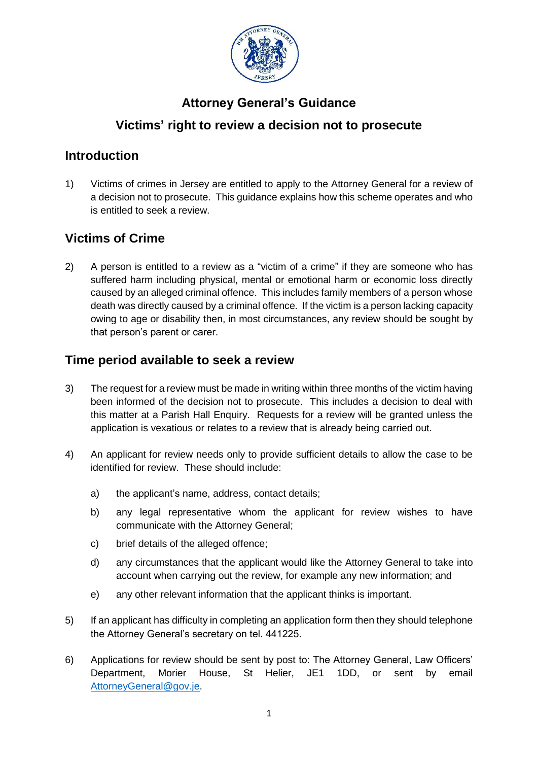

# **Attorney General's Guidance**

## **Victims' right to review a decision not to prosecute**

#### **Introduction**

1) Victims of crimes in Jersey are entitled to apply to the Attorney General for a review of a decision not to prosecute. This guidance explains how this scheme operates and who is entitled to seek a review.

## **Victims of Crime**

2) A person is entitled to a review as a "victim of a crime" if they are someone who has suffered harm including physical, mental or emotional harm or economic loss directly caused by an alleged criminal offence. This includes family members of a person whose death was directly caused by a criminal offence. If the victim is a person lacking capacity owing to age or disability then, in most circumstances, any review should be sought by that person's parent or carer.

### **Time period available to seek a review**

- 3) The request for a review must be made in writing within three months of the victim having been informed of the decision not to prosecute. This includes a decision to deal with this matter at a Parish Hall Enquiry. Requests for a review will be granted unless the application is vexatious or relates to a review that is already being carried out.
- 4) An applicant for review needs only to provide sufficient details to allow the case to be identified for review. These should include:
	- a) the applicant's name, address, contact details;
	- b) any legal representative whom the applicant for review wishes to have communicate with the Attorney General;
	- c) brief details of the alleged offence;
	- d) any circumstances that the applicant would like the Attorney General to take into account when carrying out the review, for example any new information; and
	- e) any other relevant information that the applicant thinks is important.
- 5) If an applicant has difficulty in completing an application form then they should telephone the Attorney General's secretary on tel. 441225.
- 6) Applications for review should be sent by post to: The Attorney General, Law Officers' Department, Morier House, St Helier, JE1 1DD, or sent by email [AttorneyGeneral@gov.je.](mailto:AttorneyGeneral@gov.je)